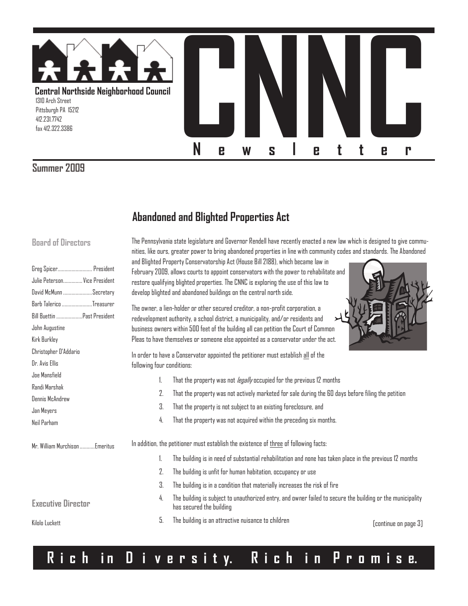

#### **Summer 2009**

## **Abandoned and Blighted Properties Act**

The Pennsylvania state legislature and Governor Rendell have recently enacted a new law which is designed to give communities, like ours, greater power to bring abandoned properties in line with community codes and standards. The Abandoned

#### **Board of Directors**

| Greg Spicer President<br>Julie Peterson Vice President<br>David McMunn Secretary<br>Barb Talerico Treasurer<br>Bill Buettin Past President<br>John Augustine<br>Kirk Burkley<br>Christopher D'Addario | and Blighted Property Conservatorship Act (House Bill 2188), which became law in<br>February 2009, allows courts to appoint conservators with the power to rehabilitate and<br>restore qualifying blighted properties. The CNNC is exploring the use of this law to<br>develop blighted and abandoned buildings on the central north side.<br>The owner, a lien-holder or other secured creditor, a non-profit corporation, a<br>redevelopment authority, a school district, a municipality, and/or residents and<br>business owners within 500 feet of the building all can petition the Court of Common<br>Pleas to have themselves or someone else appointed as a conservator under the act.<br>In order to have a Conservator appointed the petitioner must establish all of the |  |  |  |  |
|-------------------------------------------------------------------------------------------------------------------------------------------------------------------------------------------------------|--------------------------------------------------------------------------------------------------------------------------------------------------------------------------------------------------------------------------------------------------------------------------------------------------------------------------------------------------------------------------------------------------------------------------------------------------------------------------------------------------------------------------------------------------------------------------------------------------------------------------------------------------------------------------------------------------------------------------------------------------------------------------------------|--|--|--|--|
| Dr. Avis Ellis                                                                                                                                                                                        | following four conditions:                                                                                                                                                                                                                                                                                                                                                                                                                                                                                                                                                                                                                                                                                                                                                           |  |  |  |  |
| Joe Mansfield<br>Randi Marshak<br>Dennis McAndrew<br>Jan Meyers<br>Neil Parham                                                                                                                        | That the property was not <i>legally</i> occupied for the previous 12 months<br>2.<br>That the property was not actively marketed for sale during the 60 days before filing the petition<br>3.<br>That the property is not subject to an existing foreclosure, and<br>That the property was not acquired within the preceding six months.<br>4.                                                                                                                                                                                                                                                                                                                                                                                                                                      |  |  |  |  |
| Mr. William Murchison Emeritus                                                                                                                                                                        | In addition, the petitioner must establish the existence of three of following facts:                                                                                                                                                                                                                                                                                                                                                                                                                                                                                                                                                                                                                                                                                                |  |  |  |  |
|                                                                                                                                                                                                       | The building is in need of substantial rehabilitation and none has taken place in the previous 12 months                                                                                                                                                                                                                                                                                                                                                                                                                                                                                                                                                                                                                                                                             |  |  |  |  |
|                                                                                                                                                                                                       | 2.<br>The building is unfit for human habitation, occupancy or use                                                                                                                                                                                                                                                                                                                                                                                                                                                                                                                                                                                                                                                                                                                   |  |  |  |  |
|                                                                                                                                                                                                       | 3.<br>The building is in a condition that materially increases the risk of fire                                                                                                                                                                                                                                                                                                                                                                                                                                                                                                                                                                                                                                                                                                      |  |  |  |  |
| <b>Executive Director</b>                                                                                                                                                                             | The building is subject to unauthorized entry, and owner failed to secure the building or the municipality<br>4.<br>has secured the building                                                                                                                                                                                                                                                                                                                                                                                                                                                                                                                                                                                                                                         |  |  |  |  |
| Kilolo Luckett                                                                                                                                                                                        | 5.<br>The building is an attractive nuisance to children<br>[continue on page 3]                                                                                                                                                                                                                                                                                                                                                                                                                                                                                                                                                                                                                                                                                                     |  |  |  |  |
|                                                                                                                                                                                                       |                                                                                                                                                                                                                                                                                                                                                                                                                                                                                                                                                                                                                                                                                                                                                                                      |  |  |  |  |

# **R i c h i n D i v e r s i t y. R i c h i n P r o m i s e.**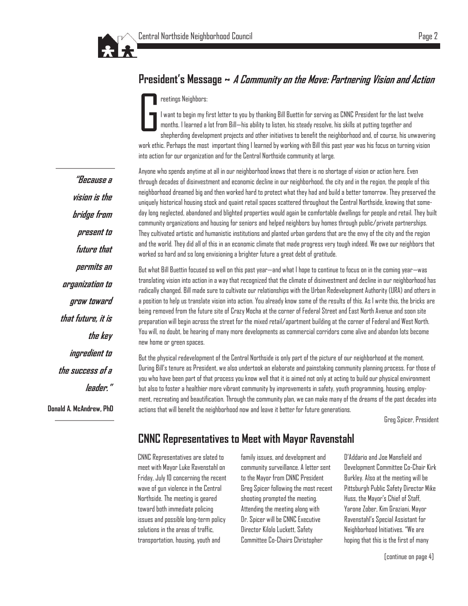

#### **President's Message ~ A Community on the Move: Partnering Vision and Action**

#### reetings Neighbors:

G I want to begin my first letter to you by thanking Bill Buettin for serving as CNNC President for the last twelve months. I learned a lot from Bill—his ability to listen, his steady resolve, his skills at putting together and shepherding development projects and other initiatives to benefit the neighborhood and, of course, his unwavering work ethic. Perhaps the most important thing I learned by working with Bill this past year was his focus on turning vision into action for our organization and for the Central Northside community at large.

Anyone who spends anytime at all in our neighborhood knows that there is no shortage of vision or action here. Even through decades of disinvestment and economic decline in our neighborhood, the city and in the region, the people of this neighborhood dreamed big and then worked hard to protect what they had and build a better tomorrow. They preserved the uniquely historical housing stock and quaint retail spaces scattered throughout the Central Northside, knowing that someday long neglected, abandoned and blighted properties would again be comfortable dwellings for people and retail. They built community organizations and housing for seniors and helped neighbors buy homes through public/private partnerships. They cultivated artistic and humanistic institutions and planted urban gardens that are the envy of the city and the region and the world. They did all of this in an economic climate that made progress very tough indeed. We owe our neighbors that worked so hard and so long envisioning a brighter future a great debt of gratitude.

But what Bill Buettin focused so well on this past year—and what I hope to continue to focus on in the coming year—was translating vision into action in a way that recognized that the climate of disinvestment and decline in our neighborhood has radically changed. Bill made sure to cultivate our relationships with the Urban Redevelopment Authority (URA) and others in a position to help us translate vision into action. You already know some of the results of this. As I write this, the bricks are being removed from the future site of Crazy Mocha at the corner of Federal Street and East North Avenue and soon site preparation will begin across the street for the mixed retail/apartment building at the corner of Federal and West North. You will, no doubt, be hearing of many more developments as commercial corridors come alive and abandon lots become new home or green spaces.

But the physical redevelopment of the Central Northside is only part of the picture of our neighborhood at the moment. During Bill's tenure as President, we also undertook an elaborate and painstaking community planning process. For those of you who have been part of that process you know well that it is aimed not only at acting to build our physical environment but also to foster a healthier more vibrant community by improvements in safety, youth programming, housing, employment, recreating and beautification. Through the community plan, we can make many of the dreams of the past decades into actions that will benefit the neighborhood now and leave it better for future generations.

Greg Spicer, President

#### **CNNC Representatives to Meet with Mayor Ravenstahl**

CNNC Representatives are slated to meet with Mayor Luke Ravenstahl on Friday, July 10 concerning the recent wave of gun violence in the Central Northside. The meeting is geared toward both immediate policing issues and possible long-term policy solutions in the areas of traffic, transportation, housing, youth and

family issues, and development and community surveillance. A letter sent to the Mayor from CNNC President Greg Spicer following the most recent shooting prompted the meeting. Attending the meeting along with Dr. Spicer will be CNNC Executive Director Kilolo Luckett, Safety Committee Co-Chairs Christopher

D'Addario and Joe Mansfield and Development Committee Co-Chair Kirk Burkley. Also at the meeting will be Pittsburgh Public Safety Director Mike Huss, the Mayor's Chief of Staff, Yarone Zober, Kim Graziani, Mayor Ravenstahl's Special Assistant for Neighborhood Initiatives. "We are hoping that this is the first of many

**"Because a vision is the bridge from present to future that permits an organization to grow toward that future, it is the key ingredient to the success of a leader."**

**Donald A. McAndrew, PhD**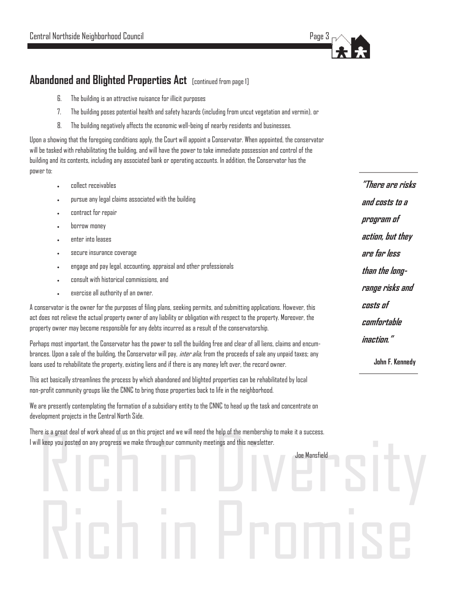

#### **Abandoned and Blighted Properties Act** [continued from page 1]

- 6. The building is an attractive nuisance for illicit purposes
- 7. The building poses potential health and safety hazards (including from uncut vegetation and vermin), or
- 8. The building negatively affects the economic well-being of nearby residents and businesses.

Upon a showing that the foregoing conditions apply, the Court will appoint a Conservator. When appointed, the conservator will be tasked with rehabilitating the building, and will have the power to take immediate possession and control of the building and its contents, including any associated bank or operating accounts. In addition, the Conservator has the power to:

- collect receivables
- pursue any legal claims associated with the building
- contract for repair
- borrow money
- enter into leases
- secure insurance coverage
- engage and pay legal, accounting, appraisal and other professionals
- consult with historical commissions, and
- exercise all authority of an owner.

A conservator is the owner for the purposes of filing plans, seeking permits, and submitting applications. However, this act does not relieve the actual property owner of any liability or obligation with respect to the property. Moreover, the property owner may become responsible for any debts incurred as a result of the conservatorship.

Perhaps most important, the Conservator has the power to sell the building free and clear of all liens, claims and encumbrances. Upon a sale of the building, the Conservator will pay, *inter alia,* from the proceeds of sale any unpaid taxes; any loans used to rehabilitate the property, existing liens and if there is any money left over, the record owner.

This act basically streamlines the process by which abandoned and blighted properties can be rehabilitated by local non-profit community groups like the CNNC to bring those properties back to life in the neighborhood.

We are presently contemplating the formation of a subsidiary entity to the CNNC to head up the task and concentrate on development projects in the Central North Side.

re is a great deal of work ahead of us on this project and we will need the help of the membership to make it a success.<br>Il keep you posted on any progress we make through our community meetings and this newsletter.<br>And th There is a great deal of work ahead of us on this project and we will need the help of the membership to make it a success. I will keep you posted on any progress we make through our community meetings and this newsletter.

Rich in Promise

Joe Mansfield

**"There are risks and costs to a program of action, but they are far less than the longrange risks and costs of comfortable inaction."**

**John F. Kennedy**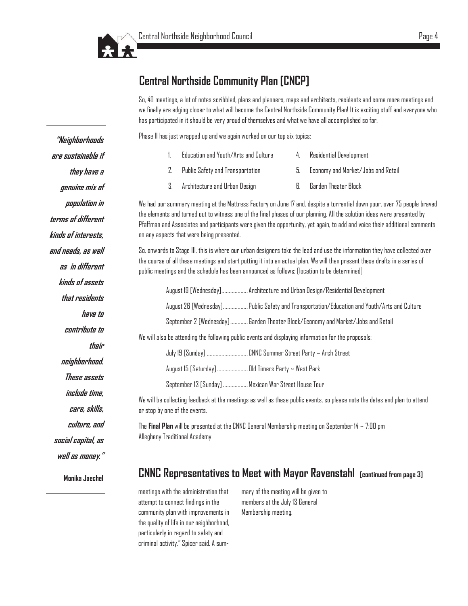

#### **Central Northside Community Plan [CNCP]**

So, 40 meetings, a lot of notes scribbled, plans and planners, maps and architects, residents and some more meetings and we finally are edging closer to what will become the Central Northside Community Plan! It is exciting stuff and everyone who has participated in it should be very proud of themselves and what we have all accomplished so far.

Phase II has just wrapped up and we again worked on our top six topics:

|      | Education and Youth/Arts and Culture | 4 | Residential Development               |
|------|--------------------------------------|---|---------------------------------------|
|      | Public Safety and Transportation     |   | 5. Economy and Market/Jobs and Retail |
| - 3. | Architecture and Urban Design        |   | Garden Theater Block                  |

We had our summary meeting at the Mattress Factory on June 17 and, despite a torrential down pour, over 75 people braved the elements and turned out to witness one of the final phases of our planning. All the solution ideas were presented by Pfaffman and Associates and participants were given the opportunity, yet again, to add and voice their additional comments on any aspects that were being presented.

So, onwards to Stage III, this is where our urban designers take the lead and use the information they have collected over the course of all these meetings and start putting it into an actual plan. We will then present these drafts in a series of public meetings and the schedule has been announced as follows; [location to be determined]

|                                                                                                     | August 19 [Wednesday] Architecture and Urban Design/Residential Development                 |  |  |  |  |
|-----------------------------------------------------------------------------------------------------|---------------------------------------------------------------------------------------------|--|--|--|--|
|                                                                                                     | August 26 [Wednesday] Public Safety and Transportation/Education and Youth/Arts and Culture |  |  |  |  |
|                                                                                                     | September 2 [Wednesday]Garden Theater Block/Economy and Market/Jobs and Retail              |  |  |  |  |
| We will also be attending the following public events and displaying information for the proposals: |                                                                                             |  |  |  |  |
|                                                                                                     |                                                                                             |  |  |  |  |
|                                                                                                     | August 15 [Saturday] Old Timers Party ~ West Park                                           |  |  |  |  |
|                                                                                                     | September 13 [Sunday]  Mexican War Street House Tour                                        |  |  |  |  |
|                                                                                                     |                                                                                             |  |  |  |  |

We will be collecting feedback at the meetings as well as these public events, so please note the dates and plan to attend or stop by one of the events.

The **Final Plan** will be presented at the CNNC General Membership meeting on September 14 ~ 7:00 pm Allegheny Traditional Academy

#### **CNNC Representatives to Meet with Mayor Ravenstahl [continued from page 3]**

meetings with the administration that attempt to connect findings in the community plan with improvements in the quality of life in our neighborhood, particularly in regard to safety and criminal activity," Spicer said. A summary of the meeting will be given to members at the July 13 General Membership meeting.

**population in terms of different kinds of interests, and needs, as well as in different kinds of assets that residents have to** 

**"Neighborhoods** 

**are sustainable if** 

**they have a** 

**genuine mix of** 

**contribute to** 

**their** 

**neighborhood.** 

**These assets** 

**include time,** 

**care, skills,** 

**culture, and** 

**social capital, as** 

**well as money."** 

**Monika Jaechel**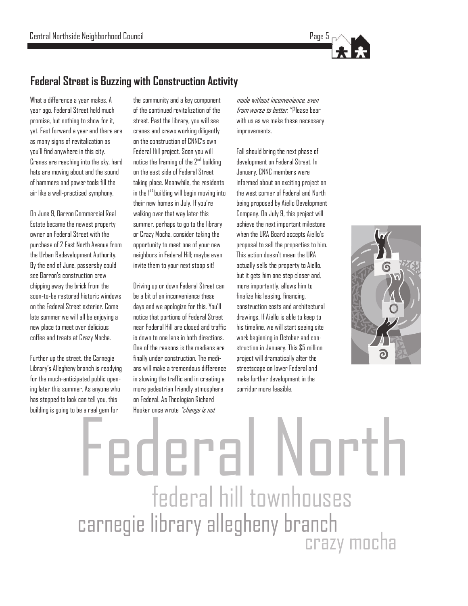

#### **Federal Street is Buzzing with Construction Activity**

What a difference a year makes. A year ago, Federal Street held much promise, but nothing to show for it, yet. Fast forward a year and there are as many signs of revitalization as you'll find anywhere in this city. Cranes are reaching into the sky, hard hats are moving about and the sound of hammers and power tools fill the air like a well-practiced symphony.

On June 9, Barron Commercial Real Estate became the newest property owner on Federal Street with the purchase of 2 East North Avenue from the Urban Redevelopment Authority. By the end of June, passersby could see Barron's construction crew chipping away the brick from the soon-to-be restored historic windows on the Federal Street exterior. Come late summer we will all be enjoying a new place to meet over delicious coffee and treats at Crazy Mocha.

Further up the street, the Carnegie Library's Allegheny branch is readying for the much-anticipated public opening later this summer. As anyone who has stopped to look can tell you, this building is going to be a real gem for

the community and a key component of the continued revitalization of the street. Past the library, you will see cranes and crews working diligently on the construction of CNNC's own Federal Hill project. Soon you will notice the framing of the  $2^{nd}$  building on the east side of Federal Street taking place. Meanwhile, the residents in the  $1<sup>st</sup>$  building will begin moving into their new homes in July. If you're walking over that way later this summer, perhaps to go to the library or Crazy Mocha, consider taking the opportunity to meet one of your new neighbors in Federal Hill; maybe even invite them to your next stoop sit!

Driving up or down Federal Street can be a bit of an inconvenience these days and we apologize for this. You'll notice that portions of Federal Street near Federal Hill are closed and traffic is down to one lane in both directions. One of the reasons is the medians are finally under construction. The medians will make a tremendous difference in slowing the traffic and in creating a more pedestrian friendly atmosphere on Federal. As Theologian Richard Hooker once wrote "change is not

made without inconvenience, even from worse to better. "Please bear with us as we make these necessary improvements.

Fall should bring the next phase of development on Federal Street. In January, CNNC members were informed about an exciting project on the west corner of Federal and North being proposed by Aiello Development Company. On July 9, this project will achieve the next important milestone when the URA Board accepts Aiello's proposal to sell the properties to him. This action doesn't mean the URA actually sells the property to Aiello, but it gets him one step closer and, more importantly, allows him to finalize his leasing, financing, construction costs and architectural drawings. If Aiello is able to keep to his timeline, we will start seeing site work beginning in October and construction in January. This \$5 million project will dramatically alter the streetscape on lower Federal and make further development in the corridor more feasible.



# federal hill townhouses carnegie library allegheny branch crazy mocha Federal North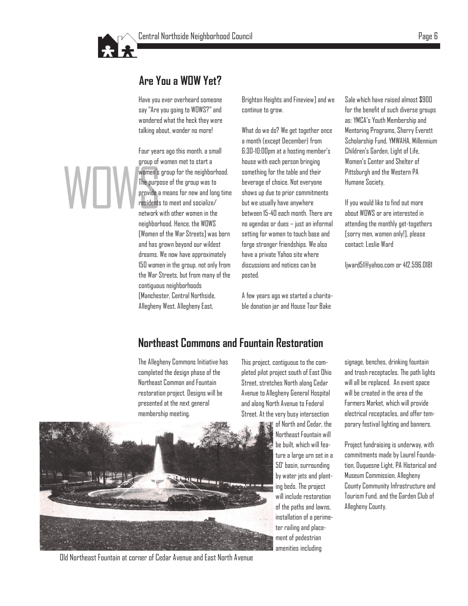

#### **Are You a WOW Yet?**

Have you ever overheard someone say "Are you going to WOWS?" and wondered what the heck they were talking about, wonder no more!

Women's<br>
The purps<br>
provide a<br>
residents<br>
network v Four years ago this month, a small group of women met to start a women's group for the neighborhood. The purpose of the group was to provide a means for new and long time residents to meet and socialize/ network with other women in the neighborhood. Hence, the WOWS [Women of the War Streets] was born and has grown beyond our wildest dreams. We now have approximately 150 women in the group, not only from the War Streets, but from many of the contiguous neighborhoods [Manchester, Central Northside, Allegheny West, Allegheny East,

Brighton Heights and Fineview] and we continue to grow.

What do we do? We get together once a month (except December) from 6:30-10:00pm at a hosting member's house with each person bringing something for the table and their beverage of choice. Not everyone shows up due to prior commitments but we usually have anywhere between 15-40 each month. There are no agendas or dues – just an informal setting for women to touch base and forge stronger friendships. We also have a private Yahoo site where discussions and notices can be posted.

A few years ago we started a charitable donation jar and House Tour Bake

Sale which have raised almost \$900 for the benefit of such diverse groups as: YMCA's Youth Membership and Mentoring Programs, Sherry Everett Scholarship Fund, YMWAHA, Millennium Children's Garden, Light of Life, Women's Center and Shelter of Pittsburgh and the Western PA Humane Society.

If you would like to find out more about WOWS or are interested in attending the monthly get-togethers [sorry men, women only!], please contact: Leslie Ward

[ljward51@yahoo.com](mailto:ljward51@yahoo.com) or 412.596.0181

#### **Northeast Commons and Fountain Restoration**

The Allegheny Commons Initiative has completed the design phase of the Northeast Common and Fountain restoration project. Designs will be presented at the next general membership meeting.

This project, contiguous to the completed pilot project south of East Ohio Street, stretches North along Cedar Avenue to Allegheny General Hospital and along North Avenue to Federal Street. At the very busy intersection

> of North and Cedar, the Northeast Fountain will be built, which will feature a large urn set in a 50' basin, surrounding by water jets and planting beds. The project will include restoration of the paths and lawns, installation of a perimeter railing and placement of pedestrian amenities including

signage, benches, drinking fountain and trash receptacles. The path lights will all be replaced. An event space will be created in the area of the Farmers Market, which will provide electrical receptacles, and offer temporary festival lighting and banners.

Project fundraising is underway, with commitments made by Laurel Foundation, Duquesne Light, PA Historical and Museum Commission, Allegheny County Community Infrastructure and Tourism Fund, and the Garden Club of Allegheny County.



Old Northeast Fountain at corner of Cedar Avenue and East North Avenue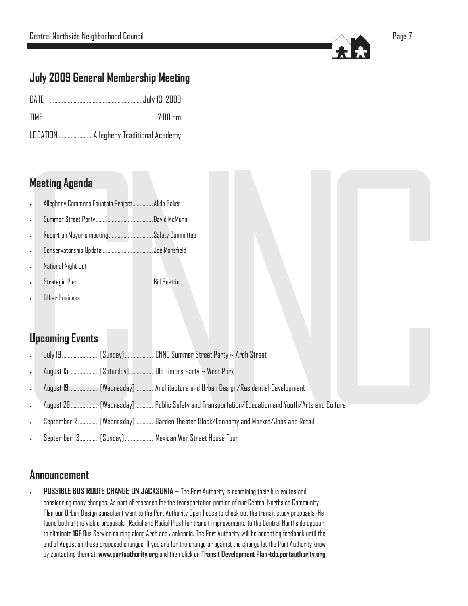

### **July 2009 General Membership Meeting**

| DATE |  |  |  |
|------|--|--|--|
|------|--|--|--|

- TIME ...........................................................................7:00 pm
- LOCATION........................ Allegheny Traditional Academy

#### **Meeting Agenda**

- Allegheny Commons Fountain Project.............. Alida Baker
- Summer Street Party....................................... David McMunn
- Report on Mayor's meeting.............................. Safety Committee
- Conservatorship Update ..................................Joe Mansfield
- National Night Out
- Strategic Plan................................................... Bill Buettin
- Other Business

### **Upcoming Events**

- N July 19........................ [Sunday]................... CNNC Summer Street Party ~ Arch Street
- August 15 .................. [Saturday]................ Old Timers Party ~ West Park
- August 19................... [Wednesday]............ Architecture and Urban Design/Residential Development
- C Party ~ Arch Street<br>St Park<br>Design/Residential Development<br>sportation/Education and Youth/Arts and Culture<br>Economy and Market/Jobs and Retail<br>use Tour nd Culture<br>And Culture<br>Discovery of Culture August 26.................. [Wednesday]............ Public Safety and Transportation/Education and Youth/Arts and Culture
	- September 2............. [Wednesday]............ Garden Theater Block/Economy and Market/Jobs and Retail
	- September 13............ [Sunday]................... Mexican War Street House Tour

#### **Announcement**

**POSSIBLE BUS ROUTE CHANGE ON JACKSONIA** ~ The Port Authority is examining their bus routes and considering many changes. As part of research for the transportation portion of our Central Northside Community Plan our Urban Design consultant went to the Port Authority Open house to check out the transit study proposals. He found both of the viable proposals [Radial and Radial Plus] for transit improvements to the Central Northside appear to eliminate **16F** Bus Service routing along Arch and Jacksonia. The Port Authority will be accepting feedback until the end of August on these proposed changes. If you are for the change or against the change let the Port Authority know by contacting them at: **www.portauthority.org** and then click on **[Transit Development Plan](http://www.portauthority.org/PAAC/DesktopModules/Orizonti_NukeNews/getLink.aspx?tabid=147&pid=0&newsid=593) -tdp.portauthority.org**